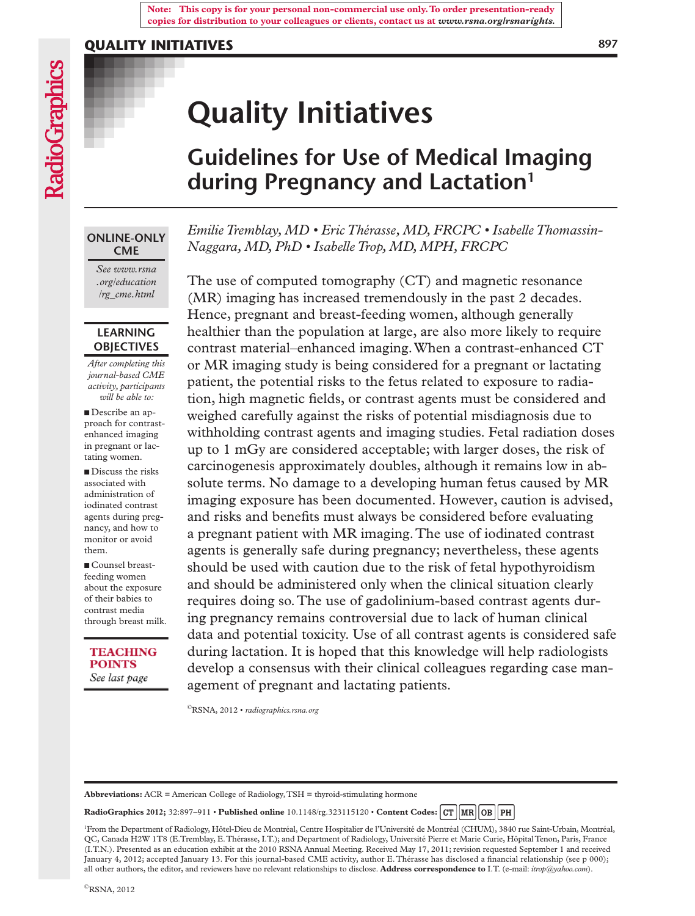# **QUALITY INITIATIVES 897**

# **Quality Initiatives**

# **Guidelines for Use of Medical Imaging during Pregnancy and Lactation1**

#### **ONLINE-ONLY CME**

**RadioGraphics** 

*See www.rsna .org/education /rg\_cme.html*

# **LEARNING OBJECTIVES**

*After completing this journal-based CME activity, participants will be able to:*

■ Describe an approach for contrastenhanced imaging in pregnant or lactating women.

■ Discuss the risks associated with administration of iodinated contrast agents during pregnancy, and how to monitor or avoid them.

■ Counsel breastfeeding women about the exposure of their babies to contrast media through breast milk.

**TEACHING POINTS** See last page

*Emilie Tremblay, MD • Eric Thérasse, MD, FRCPC • Isabelle Thomassin-Naggara, MD, PhD • Isabelle Trop, MD, MPH, FRCPC*

The use of computed tomography (CT) and magnetic resonance (MR) imaging has increased tremendously in the past 2 decades. Hence, pregnant and breast-feeding women, although generally healthier than the population at large, are also more likely to require contrast material–enhanced imaging. When a contrast-enhanced CT or MR imaging study is being considered for a pregnant or lactating patient, the potential risks to the fetus related to exposure to radiation, high magnetic fields, or contrast agents must be considered and weighed carefully against the risks of potential misdiagnosis due to withholding contrast agents and imaging studies. Fetal radiation doses up to 1 mGy are considered acceptable; with larger doses, the risk of carcinogenesis approximately doubles, although it remains low in absolute terms. No damage to a developing human fetus caused by MR imaging exposure has been documented. However, caution is advised, and risks and benefits must always be considered before evaluating a pregnant patient with MR imaging. The use of iodinated contrast agents is generally safe during pregnancy; nevertheless, these agents should be used with caution due to the risk of fetal hypothyroidism and should be administered only when the clinical situation clearly requires doing so. The use of gadolinium-based contrast agents during pregnancy remains controversial due to lack of human clinical data and potential toxicity. Use of all contrast agents is considered safe during lactation. It is hoped that this knowledge will help radiologists develop a consensus with their clinical colleagues regarding case management of pregnant and lactating patients.

©RSNA, 2012 • *radiographics.rsna.org*

**Abbreviations:** ACR = American College of Radiology, TSH = thyroid-stimulating hormone

**RadioGraphics 2012;** 32:897–911 • **Published online** 10.1148/rg.323115120 • **Content Codes:**

1 From the Department of Radiology, Hôtel-Dieu de Montréal, Centre Hospitalier de l'Université de Montréal (CHUM), 3840 rue Saint-Urbain, Montréal, QC, Canada H2W 1T8 (E.Tremblay, E. Thérasse, I.T.); and Department of Radiology, Université Pierre et Marie Curie, Hôpital Tenon, Paris, France (I.T.N.). Presented as an education exhibit at the 2010 RSNA Annual Meeting. Received May 17, 2011; revision requested September 1 and received January 4, 2012; accepted January 13. For this journal-based CME activity, author E. Thérasse has disclosed a financial relationship (see p 000); all other authors, the editor, and reviewers have no relevant relationships to disclose. **Address correspondence to** I.T. (e-mail: *itrop@yahoo.com*).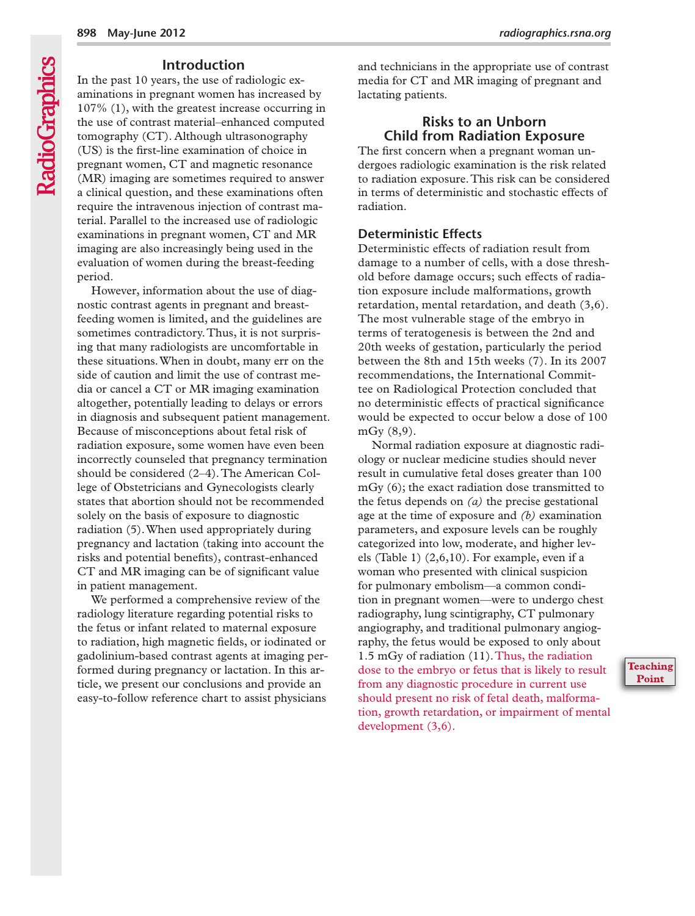# **Introduction**

In the past 10 years, the use of radiologic examinations in pregnant women has increased by 107% (1), with the greatest increase occurring in the use of contrast material–enhanced computed tomography (CT). Although ultrasonography (US) is the first-line examination of choice in pregnant women, CT and magnetic resonance (MR) imaging are sometimes required to answer a clinical question, and these examinations often require the intravenous injection of contrast material. Parallel to the increased use of radiologic examinations in pregnant women, CT and MR imaging are also increasingly being used in the evaluation of women during the breast-feeding period.

However, information about the use of diagnostic contrast agents in pregnant and breastfeeding women is limited, and the guidelines are sometimes contradictory. Thus, it is not surprising that many radiologists are uncomfortable in these situations. When in doubt, many err on the side of caution and limit the use of contrast media or cancel a CT or MR imaging examination altogether, potentially leading to delays or errors in diagnosis and subsequent patient management. Because of misconceptions about fetal risk of radiation exposure, some women have even been incorrectly counseled that pregnancy termination should be considered (2–4). The American College of Obstetricians and Gynecologists clearly states that abortion should not be recommended solely on the basis of exposure to diagnostic radiation (5). When used appropriately during pregnancy and lactation (taking into account the risks and potential benefits), contrast-enhanced CT and MR imaging can be of significant value in patient management.

We performed a comprehensive review of the radiology literature regarding potential risks to the fetus or infant related to maternal exposure to radiation, high magnetic fields, or iodinated or gadolinium-based contrast agents at imaging performed during pregnancy or lactation. In this article, we present our conclusions and provide an easy-to-follow reference chart to assist physicians

and technicians in the appropriate use of contrast media for CT and MR imaging of pregnant and lactating patients.

# **Risks to an Unborn Child from Radiation Exposure**

The first concern when a pregnant woman undergoes radiologic examination is the risk related to radiation exposure. This risk can be considered in terms of deterministic and stochastic effects of radiation.

#### **Deterministic Effects**

Deterministic effects of radiation result from damage to a number of cells, with a dose threshold before damage occurs; such effects of radiation exposure include malformations, growth retardation, mental retardation, and death (3,6). The most vulnerable stage of the embryo in terms of teratogenesis is between the 2nd and 20th weeks of gestation, particularly the period between the 8th and 15th weeks (7). In its 2007 recommendations, the International Committee on Radiological Protection concluded that no deterministic effects of practical significance would be expected to occur below a dose of 100 mGy (8,9).

Normal radiation exposure at diagnostic radiology or nuclear medicine studies should never result in cumulative fetal doses greater than 100 mGy (6); the exact radiation dose transmitted to the fetus depends on *(a)* the precise gestational age at the time of exposure and *(b)* examination parameters, and exposure levels can be roughly categorized into low, moderate, and higher levels (Table 1) (2,6,10). For example, even if a woman who presented with clinical suspicion for pulmonary embolism—a common condition in pregnant women—were to undergo chest radiography, lung scintigraphy, CT pulmonary angiography, and traditional pulmonary angiography, the fetus would be exposed to only about 1.5 mGy of radiation (11). Thus, the radiation dose to the embryo or fetus that is likely to result from any diagnostic procedure in current use should present no risk of fetal death, malformation, growth retardation, or impairment of mental development (3,6).

# **RadioGraphics**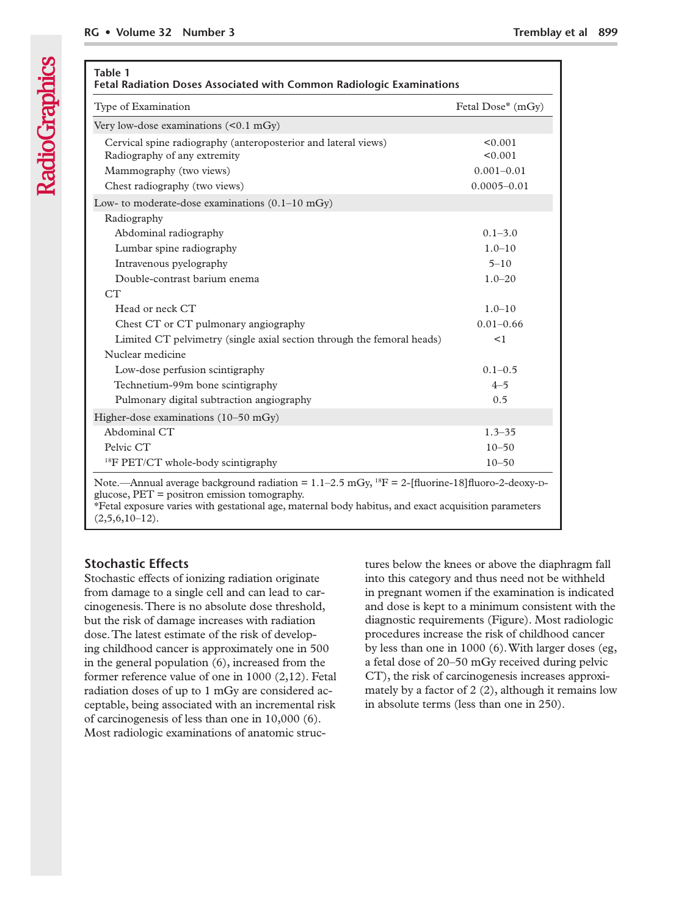| Table 1<br>Fetal Radiation Doses Associated with Common Radiologic Examinations                                                                                                                                                                                                        |                    |  |
|----------------------------------------------------------------------------------------------------------------------------------------------------------------------------------------------------------------------------------------------------------------------------------------|--------------------|--|
| Type of Examination                                                                                                                                                                                                                                                                    | Fetal Dose* (mGy)  |  |
| Very low-dose examinations (<0.1 mGy)                                                                                                                                                                                                                                                  |                    |  |
| Cervical spine radiography (anteroposterior and lateral views)<br>Radiography of any extremity                                                                                                                                                                                         | < 0.001<br>< 0.001 |  |
| Mammography (two views)                                                                                                                                                                                                                                                                | $0.001 - 0.01$     |  |
| Chest radiography (two views)                                                                                                                                                                                                                                                          | $0.0005 - 0.01$    |  |
| Low- to moderate-dose examinations $(0.1-10 \text{ mGy})$                                                                                                                                                                                                                              |                    |  |
| Radiography                                                                                                                                                                                                                                                                            |                    |  |
| Abdominal radiography                                                                                                                                                                                                                                                                  | $0.1 - 3.0$        |  |
| Lumbar spine radiography                                                                                                                                                                                                                                                               | $1.0 - 10$         |  |
| Intravenous pyelography                                                                                                                                                                                                                                                                | $5 - 10$           |  |
| Double-contrast barium enema                                                                                                                                                                                                                                                           | $1.0 - 20$         |  |
| CT                                                                                                                                                                                                                                                                                     |                    |  |
| Head or neck CT                                                                                                                                                                                                                                                                        | $1.0 - 10$         |  |
| Chest CT or CT pulmonary angiography                                                                                                                                                                                                                                                   | $0.01 - 0.66$      |  |
| Limited CT pelvimetry (single axial section through the femoral heads)                                                                                                                                                                                                                 | <1                 |  |
| Nuclear medicine                                                                                                                                                                                                                                                                       |                    |  |
| Low-dose perfusion scintigraphy                                                                                                                                                                                                                                                        | $0.1 - 0.5$        |  |
| Technetium-99m bone scintigraphy                                                                                                                                                                                                                                                       | $4 - 5$            |  |
| Pulmonary digital subtraction angiography                                                                                                                                                                                                                                              | 0.5                |  |
| Higher-dose examinations (10-50 mGy)                                                                                                                                                                                                                                                   |                    |  |
| Abdominal CT                                                                                                                                                                                                                                                                           | $1.3 - 35$         |  |
| Pelvic CT                                                                                                                                                                                                                                                                              | $10 - 50$          |  |
| $^{18}$ F PET/CT whole-body scintigraphy                                                                                                                                                                                                                                               | $10 - 50$          |  |
| Note.—Annual average background radiation = $1.1-2.5$ mGy, $^{18}F = 2$ -[fluorine-18]fluoro-2-deoxy-D-<br>$glucose, PET = positron emission tomography.$<br>*Fetal exposure varies with gestational age, maternal body habitus, and exact acquisition parameters<br>$(2,5,6,10-12)$ . |                    |  |

# **Stochastic Effects**

Stochastic effects of ionizing radiation originate from damage to a single cell and can lead to carcinogenesis. There is no absolute dose threshold, but the risk of damage increases with radiation dose. The latest estimate of the risk of developing childhood cancer is approximately one in 500 in the general population (6), increased from the former reference value of one in 1000 (2,12). Fetal radiation doses of up to 1 mGy are considered acceptable, being associated with an incremental risk of carcinogenesis of less than one in 10,000 (6). Most radiologic examinations of anatomic struc-

tures below the knees or above the diaphragm fall into this category and thus need not be withheld in pregnant women if the examination is indicated and dose is kept to a minimum consistent with the diagnostic requirements (Figure). Most radiologic procedures increase the risk of childhood cancer by less than one in 1000 (6). With larger doses (eg, a fetal dose of 20–50 mGy received during pelvic CT), the risk of carcinogenesis increases approximately by a factor of 2 (2), although it remains low in absolute terms (less than one in 250).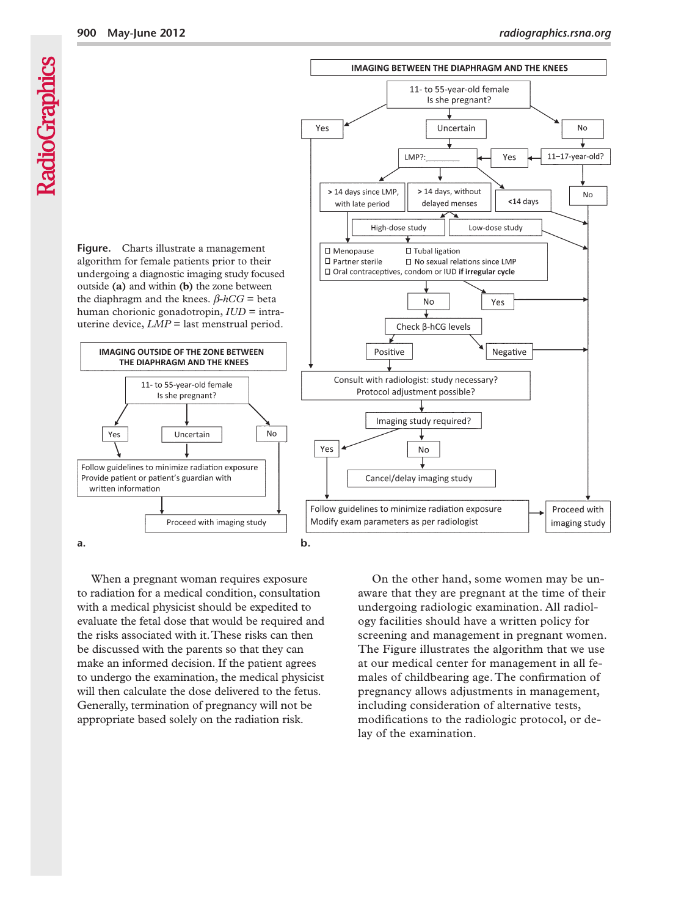Yes

a.



When a pregnant woman requires exposure to radiation for a medical condition, consultation with a medical physicist should be expedited to evaluate the fetal dose that would be required and the risks associated with it. These risks can then be discussed with the parents so that they can make an informed decision. If the patient agrees to undergo the examination, the medical physicist will then calculate the dose delivered to the fetus. Generally, termination of pregnancy will not be

appropriate based solely on the radiation risk.

On the other hand, some women may be unaware that they are pregnant at the time of their undergoing radiologic examination. All radiology facilities should have a written policy for screening and management in pregnant women. The Figure illustrates the algorithm that we use at our medical center for management in all females of childbearing age. The confirmation of pregnancy allows adjustments in management, including consideration of alternative tests, modifications to the radiologic protocol, or delay of the examination.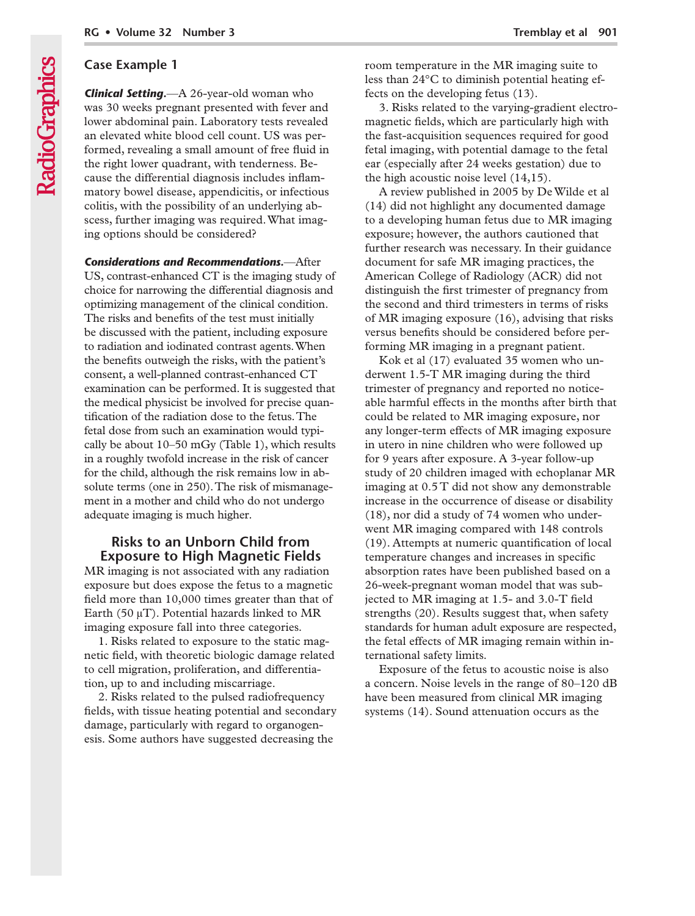*Clinical Setting.*—A 26-year-old woman who was 30 weeks pregnant presented with fever and lower abdominal pain. Laboratory tests revealed an elevated white blood cell count. US was performed, revealing a small amount of free fluid in the right lower quadrant, with tenderness. Because the differential diagnosis includes inflammatory bowel disease, appendicitis, or infectious colitis, with the possibility of an underlying abscess, further imaging was required. What imaging options should be considered?

*Considerations and Recommendations.*—After US, contrast-enhanced CT is the imaging study of choice for narrowing the differential diagnosis and optimizing management of the clinical condition. The risks and benefits of the test must initially be discussed with the patient, including exposure to radiation and iodinated contrast agents. When the benefits outweigh the risks, with the patient's consent, a well-planned contrast-enhanced CT examination can be performed. It is suggested that the medical physicist be involved for precise quantification of the radiation dose to the fetus. The fetal dose from such an examination would typically be about 10–50 mGy (Table 1), which results in a roughly twofold increase in the risk of cancer for the child, although the risk remains low in absolute terms (one in 250). The risk of mismanagement in a mother and child who do not undergo adequate imaging is much higher.

# **Risks to an Unborn Child from Exposure to High Magnetic Fields**

MR imaging is not associated with any radiation exposure but does expose the fetus to a magnetic field more than 10,000 times greater than that of Earth (50  $\mu$ T). Potential hazards linked to MR imaging exposure fall into three categories.

1. Risks related to exposure to the static magnetic field, with theoretic biologic damage related to cell migration, proliferation, and differentiation, up to and including miscarriage.

2. Risks related to the pulsed radiofrequency fields, with tissue heating potential and secondary damage, particularly with regard to organogenesis. Some authors have suggested decreasing the

room temperature in the MR imaging suite to less than 24°C to diminish potential heating effects on the developing fetus (13).

3. Risks related to the varying-gradient electromagnetic fields, which are particularly high with the fast-acquisition sequences required for good fetal imaging, with potential damage to the fetal ear (especially after 24 weeks gestation) due to the high acoustic noise level (14,15).

A review published in 2005 by De Wilde et al (14) did not highlight any documented damage to a developing human fetus due to MR imaging exposure; however, the authors cautioned that further research was necessary. In their guidance document for safe MR imaging practices, the American College of Radiology (ACR) did not distinguish the first trimester of pregnancy from the second and third trimesters in terms of risks of MR imaging exposure (16), advising that risks versus benefits should be considered before performing MR imaging in a pregnant patient.

Kok et al (17) evaluated 35 women who underwent 1.5-T MR imaging during the third trimester of pregnancy and reported no noticeable harmful effects in the months after birth that could be related to MR imaging exposure, nor any longer-term effects of MR imaging exposure in utero in nine children who were followed up for 9 years after exposure. A 3-year follow-up study of 20 children imaged with echoplanar MR imaging at 0.5 T did not show any demonstrable increase in the occurrence of disease or disability (18), nor did a study of 74 women who underwent MR imaging compared with 148 controls (19). Attempts at numeric quantification of local temperature changes and increases in specific absorption rates have been published based on a 26-week-pregnant woman model that was subjected to MR imaging at 1.5- and 3.0-T field strengths (20). Results suggest that, when safety standards for human adult exposure are respected, the fetal effects of MR imaging remain within international safety limits.

Exposure of the fetus to acoustic noise is also a concern. Noise levels in the range of 80–120 dB have been measured from clinical MR imaging systems (14). Sound attenuation occurs as the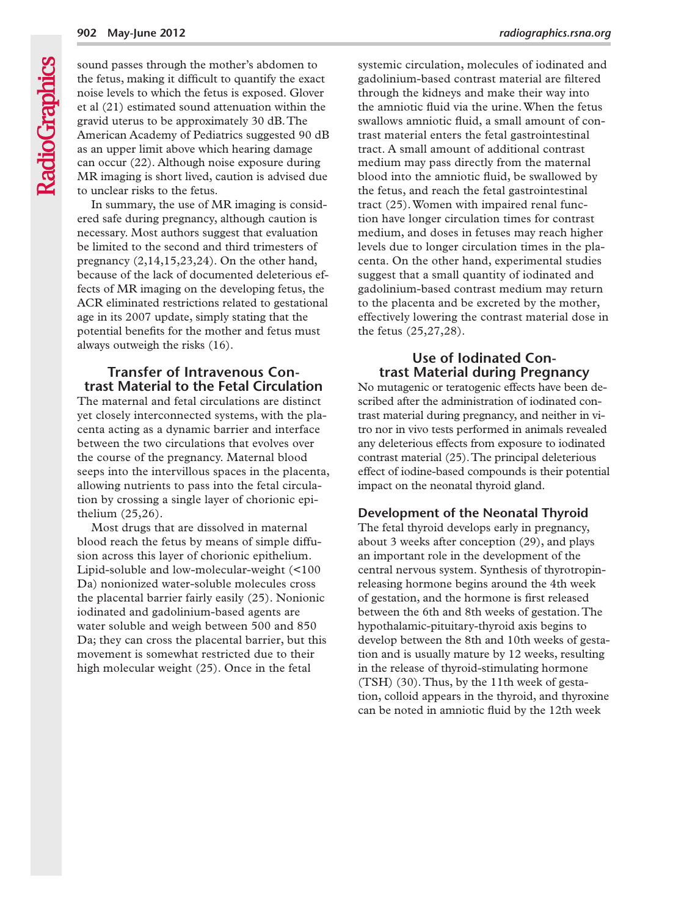#### **902 May-June 2012** *radiographics.rsna.org*

**RadioGraphics** 

sound passes through the mother's abdomen to the fetus, making it difficult to quantify the exact noise levels to which the fetus is exposed. Glover et al (21) estimated sound attenuation within the gravid uterus to be approximately 30 dB. The American Academy of Pediatrics suggested 90 dB as an upper limit above which hearing damage can occur (22). Although noise exposure during MR imaging is short lived, caution is advised due to unclear risks to the fetus.

In summary, the use of MR imaging is considered safe during pregnancy, although caution is necessary. Most authors suggest that evaluation be limited to the second and third trimesters of pregnancy  $(2,14,15,23,24)$ . On the other hand, because of the lack of documented deleterious effects of MR imaging on the developing fetus, the ACR eliminated restrictions related to gestational age in its 2007 update, simply stating that the potential benefits for the mother and fetus must always outweigh the risks (16).

# **Transfer of Intravenous Contrast Material to the Fetal Circulation**

The maternal and fetal circulations are distinct yet closely interconnected systems, with the placenta acting as a dynamic barrier and interface between the two circulations that evolves over the course of the pregnancy. Maternal blood seeps into the intervillous spaces in the placenta, allowing nutrients to pass into the fetal circulation by crossing a single layer of chorionic epithelium (25,26).

Most drugs that are dissolved in maternal blood reach the fetus by means of simple diffusion across this layer of chorionic epithelium. Lipid-soluble and low-molecular-weight (<100 Da) nonionized water-soluble molecules cross the placental barrier fairly easily (25). Nonionic iodinated and gadolinium-based agents are water soluble and weigh between 500 and 850 Da; they can cross the placental barrier, but this movement is somewhat restricted due to their high molecular weight (25). Once in the fetal

systemic circulation, molecules of iodinated and gadolinium-based contrast material are filtered through the kidneys and make their way into the amniotic fluid via the urine. When the fetus swallows amniotic fluid, a small amount of contrast material enters the fetal gastrointestinal tract. A small amount of additional contrast medium may pass directly from the maternal blood into the amniotic fluid, be swallowed by the fetus, and reach the fetal gastrointestinal tract (25). Women with impaired renal function have longer circulation times for contrast medium, and doses in fetuses may reach higher levels due to longer circulation times in the placenta. On the other hand, experimental studies suggest that a small quantity of iodinated and gadolinium-based contrast medium may return to the placenta and be excreted by the mother, effectively lowering the contrast material dose in the fetus (25,27,28).

# **Use of Iodinated Contrast Material during Pregnancy**

No mutagenic or teratogenic effects have been described after the administration of iodinated contrast material during pregnancy, and neither in vitro nor in vivo tests performed in animals revealed any deleterious effects from exposure to iodinated contrast material (25). The principal deleterious effect of iodine-based compounds is their potential impact on the neonatal thyroid gland.

# **Development of the Neonatal Thyroid**

The fetal thyroid develops early in pregnancy, about 3 weeks after conception (29), and plays an important role in the development of the central nervous system. Synthesis of thyrotropinreleasing hormone begins around the 4th week of gestation, and the hormone is first released between the 6th and 8th weeks of gestation. The hypothalamic-pituitary-thyroid axis begins to develop between the 8th and 10th weeks of gestation and is usually mature by 12 weeks, resulting in the release of thyroid-stimulating hormone (TSH) (30). Thus, by the 11th week of gestation, colloid appears in the thyroid, and thyroxine can be noted in amniotic fluid by the 12th week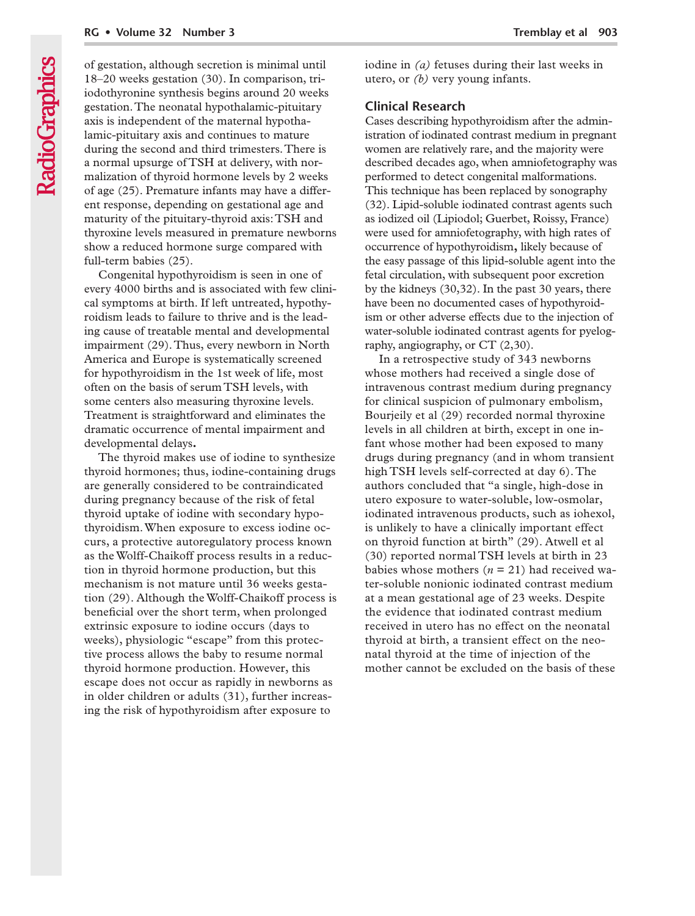#### **RG • Volume 32 Number 3 Tremblay et al 903**

of gestation, although secretion is minimal until 18–20 weeks gestation (30). In comparison, triiodothyronine synthesis begins around 20 weeks gestation. The neonatal hypothalamic-pituitary axis is independent of the maternal hypothalamic-pituitary axis and continues to mature during the second and third trimesters. There is a normal upsurge of TSH at delivery, with normalization of thyroid hormone levels by 2 weeks of age (25). Premature infants may have a different response, depending on gestational age and maturity of the pituitary-thyroid axis: TSH and thyroxine levels measured in premature newborns show a reduced hormone surge compared with full-term babies (25).

Congenital hypothyroidism is seen in one of every 4000 births and is associated with few clinical symptoms at birth. If left untreated, hypothyroidism leads to failure to thrive and is the leading cause of treatable mental and developmental impairment (29). Thus, every newborn in North America and Europe is systematically screened for hypothyroidism in the 1st week of life, most often on the basis of serum TSH levels, with some centers also measuring thyroxine levels. Treatment is straightforward and eliminates the dramatic occurrence of mental impairment and developmental delays**.**

The thyroid makes use of iodine to synthesize thyroid hormones; thus, iodine-containing drugs are generally considered to be contraindicated during pregnancy because of the risk of fetal thyroid uptake of iodine with secondary hypothyroidism. When exposure to excess iodine occurs, a protective autoregulatory process known as the Wolff-Chaikoff process results in a reduction in thyroid hormone production, but this mechanism is not mature until 36 weeks gestation (29). Although the Wolff-Chaikoff process is beneficial over the short term, when prolonged extrinsic exposure to iodine occurs (days to weeks), physiologic "escape" from this protective process allows the baby to resume normal thyroid hormone production. However, this escape does not occur as rapidly in newborns as in older children or adults (31), further increasing the risk of hypothyroidism after exposure to

iodine in *(a)* fetuses during their last weeks in utero, or *(b)* very young infants.

# **Clinical Research**

Cases describing hypothyroidism after the administration of iodinated contrast medium in pregnant women are relatively rare, and the majority were described decades ago, when amniofetography was performed to detect congenital malformations. This technique has been replaced by sonography (32). Lipid-soluble iodinated contrast agents such as iodized oil (Lipiodol; Guerbet, Roissy, France) were used for amniofetography, with high rates of occurrence of hypothyroidism**,** likely because of the easy passage of this lipid-soluble agent into the fetal circulation, with subsequent poor excretion by the kidneys (30,32). In the past 30 years, there have been no documented cases of hypothyroidism or other adverse effects due to the injection of water-soluble iodinated contrast agents for pyelography, angiography, or CT (2,30).

In a retrospective study of 343 newborns whose mothers had received a single dose of intravenous contrast medium during pregnancy for clinical suspicion of pulmonary embolism, Bourjeily et al (29) recorded normal thyroxine levels in all children at birth, except in one infant whose mother had been exposed to many drugs during pregnancy (and in whom transient high TSH levels self-corrected at day 6). The authors concluded that "a single, high-dose in utero exposure to water-soluble, low-osmolar, iodinated intravenous products, such as iohexol, is unlikely to have a clinically important effect on thyroid function at birth" (29). Atwell et al (30) reported normal TSH levels at birth in 23 babies whose mothers  $(n = 21)$  had received water-soluble nonionic iodinated contrast medium at a mean gestational age of 23 weeks. Despite the evidence that iodinated contrast medium received in utero has no effect on the neonatal thyroid at birth, a transient effect on the neonatal thyroid at the time of injection of the mother cannot be excluded on the basis of these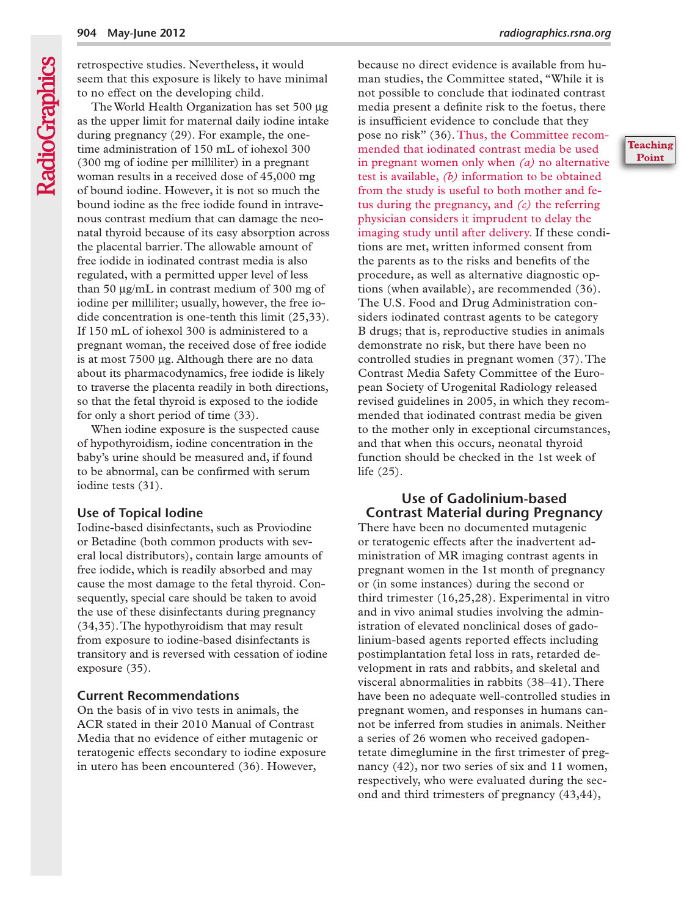**Teaching** Point

retrospective studies. Nevertheless, it would seem that this exposure is likely to have minimal to no effect on the developing child.

The World Health Organization has set 500 µg as the upper limit for maternal daily iodine intake during pregnancy (29). For example, the onetime administration of 150 mL of iohexol 300 (300 mg of iodine per milliliter) in a pregnant woman results in a received dose of 45,000 mg of bound iodine. However, it is not so much the bound iodine as the free iodide found in intravenous contrast medium that can damage the neonatal thyroid because of its easy absorption across the placental barrier. The allowable amount of free iodide in iodinated contrast media is also regulated, with a permitted upper level of less than 50 mg/mL in contrast medium of 300 mg of iodine per milliliter; usually, however, the free iodide concentration is one-tenth this limit (25,33). If 150 mL of iohexol 300 is administered to a pregnant woman, the received dose of free iodide is at most  $7500 \mu$ g. Although there are no data about its pharmacodynamics, free iodide is likely to traverse the placenta readily in both directions, so that the fetal thyroid is exposed to the iodide for only a short period of time (33).

When iodine exposure is the suspected cause of hypothyroidism, iodine concentration in the baby's urine should be measured and, if found to be abnormal, can be confirmed with serum iodine tests (31).

#### **Use of Topical Iodine**

Iodine-based disinfectants, such as Proviodine or Betadine (both common products with several local distributors), contain large amounts of free iodide, which is readily absorbed and may cause the most damage to the fetal thyroid. Consequently, special care should be taken to avoid the use of these disinfectants during pregnancy (34,35). The hypothyroidism that may result from exposure to iodine-based disinfectants is transitory and is reversed with cessation of iodine exposure (35).

#### **Current Recommendations**

On the basis of in vivo tests in animals, the ACR stated in their 2010 Manual of Contrast Media that no evidence of either mutagenic or teratogenic effects secondary to iodine exposure in utero has been encountered (36). However,

because no direct evidence is available from human studies, the Committee stated, "While it is not possible to conclude that iodinated contrast media present a definite risk to the foetus, there is insufficient evidence to conclude that they pose no risk" (36). Thus, the Committee recommended that iodinated contrast media be used in pregnant women only when *(a)* no alternative test is available, *(b)* information to be obtained from the study is useful to both mother and fetus during the pregnancy, and *(c)* the referring physician considers it imprudent to delay the imaging study until after delivery. If these conditions are met, written informed consent from the parents as to the risks and benefits of the procedure, as well as alternative diagnostic options (when available), are recommended (36). The U.S. Food and Drug Administration considers iodinated contrast agents to be category B drugs; that is, reproductive studies in animals demonstrate no risk, but there have been no controlled studies in pregnant women (37). The Contrast Media Safety Committee of the European Society of Urogenital Radiology released revised guidelines in 2005, in which they recommended that iodinated contrast media be given to the mother only in exceptional circumstances, and that when this occurs, neonatal thyroid function should be checked in the 1st week of life (25).

# **Use of Gadolinium-based Contrast Material during Pregnancy**

There have been no documented mutagenic or teratogenic effects after the inadvertent administration of MR imaging contrast agents in pregnant women in the 1st month of pregnancy or (in some instances) during the second or third trimester (16,25,28). Experimental in vitro and in vivo animal studies involving the administration of elevated nonclinical doses of gadolinium-based agents reported effects including postimplantation fetal loss in rats, retarded development in rats and rabbits, and skeletal and visceral abnormalities in rabbits (38–41). There have been no adequate well-controlled studies in pregnant women, and responses in humans cannot be inferred from studies in animals. Neither a series of 26 women who received gadopentetate dimeglumine in the first trimester of pregnancy (42), nor two series of six and 11 women, respectively, who were evaluated during the second and third trimesters of pregnancy (43,44),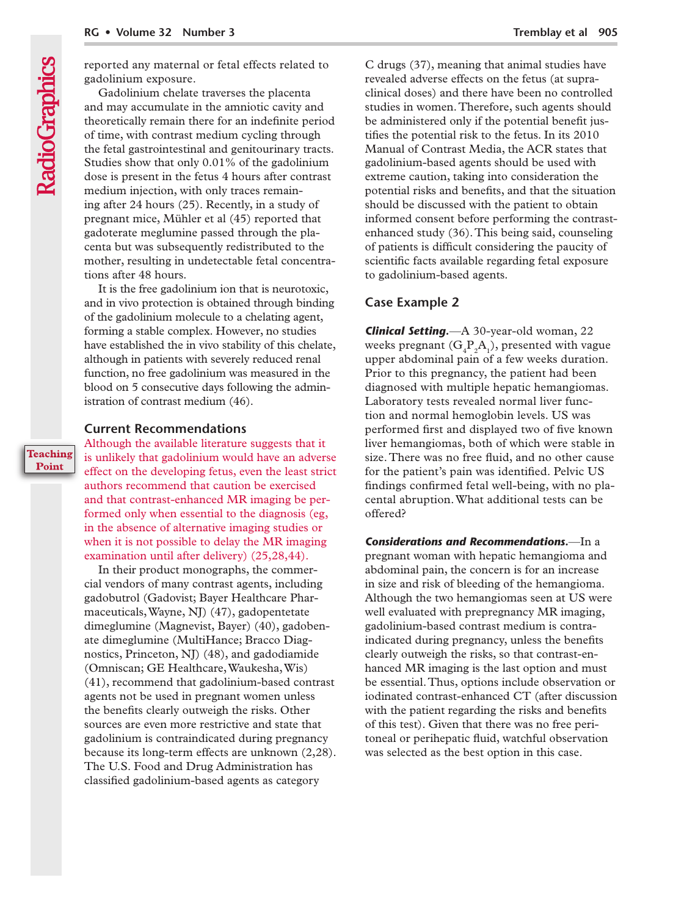

reported any maternal or fetal effects related to gadolinium exposure.

Gadolinium chelate traverses the placenta and may accumulate in the amniotic cavity and theoretically remain there for an indefinite period of time, with contrast medium cycling through the fetal gastrointestinal and genitourinary tracts. Studies show that only 0.01% of the gadolinium dose is present in the fetus 4 hours after contrast medium injection, with only traces remaining after 24 hours (25). Recently, in a study of pregnant mice, Mühler et al (45) reported that gadoterate meglumine passed through the placenta but was subsequently redistributed to the mother, resulting in undetectable fetal concentrations after 48 hours.

It is the free gadolinium ion that is neurotoxic, and in vivo protection is obtained through binding of the gadolinium molecule to a chelating agent, forming a stable complex. However, no studies have established the in vivo stability of this chelate, although in patients with severely reduced renal function, no free gadolinium was measured in the blood on 5 consecutive days following the administration of contrast medium (46).

#### **Current Recommendations**

Although the available literature suggests that it is unlikely that gadolinium would have an adverse effect on the developing fetus, even the least strict authors recommend that caution be exercised and that contrast-enhanced MR imaging be performed only when essential to the diagnosis (eg, in the absence of alternative imaging studies or when it is not possible to delay the MR imaging examination until after delivery) (25,28,44).

In their product monographs, the commercial vendors of many contrast agents, including gadobutrol (Gadovist; Bayer Healthcare Pharmaceuticals, Wayne, NJ) (47), gadopentetate dimeglumine (Magnevist, Bayer) (40), gadobenate dimeglumine (MultiHance; Bracco Diagnostics, Princeton, NJ) (48), and gadodiamide (Omniscan; GE Healthcare, Waukesha, Wis) (41), recommend that gadolinium-based contrast agents not be used in pregnant women unless the benefits clearly outweigh the risks. Other sources are even more restrictive and state that gadolinium is contraindicated during pregnancy because its long-term effects are unknown (2,28). The U.S. Food and Drug Administration has classified gadolinium-based agents as category

C drugs (37), meaning that animal studies have revealed adverse effects on the fetus (at supraclinical doses) and there have been no controlled studies in women. Therefore, such agents should be administered only if the potential benefit justifies the potential risk to the fetus. In its 2010 Manual of Contrast Media, the ACR states that gadolinium-based agents should be used with extreme caution, taking into consideration the potential risks and benefits, and that the situation should be discussed with the patient to obtain informed consent before performing the contrastenhanced study (36). This being said, counseling of patients is difficult considering the paucity of scientific facts available regarding fetal exposure to gadolinium-based agents.

#### **Case Example 2**

*Clinical Setting.*—A 30-year-old woman, 22 weeks pregnant  $(G_4P_2A_1)$ , presented with vague upper abdominal pain of a few weeks duration. Prior to this pregnancy, the patient had been diagnosed with multiple hepatic hemangiomas. Laboratory tests revealed normal liver function and normal hemoglobin levels. US was performed first and displayed two of five known liver hemangiomas, both of which were stable in size. There was no free fluid, and no other cause for the patient's pain was identified. Pelvic US findings confirmed fetal well-being, with no placental abruption. What additional tests can be offered?

*Considerations and Recommendations.*—In a pregnant woman with hepatic hemangioma and abdominal pain, the concern is for an increase in size and risk of bleeding of the hemangioma. Although the two hemangiomas seen at US were well evaluated with prepregnancy MR imaging, gadolinium-based contrast medium is contraindicated during pregnancy, unless the benefits clearly outweigh the risks, so that contrast-enhanced MR imaging is the last option and must be essential. Thus, options include observation or iodinated contrast-enhanced CT (after discussion with the patient regarding the risks and benefits of this test). Given that there was no free peritoneal or perihepatic fluid, watchful observation was selected as the best option in this case.

#### **Teaching Point**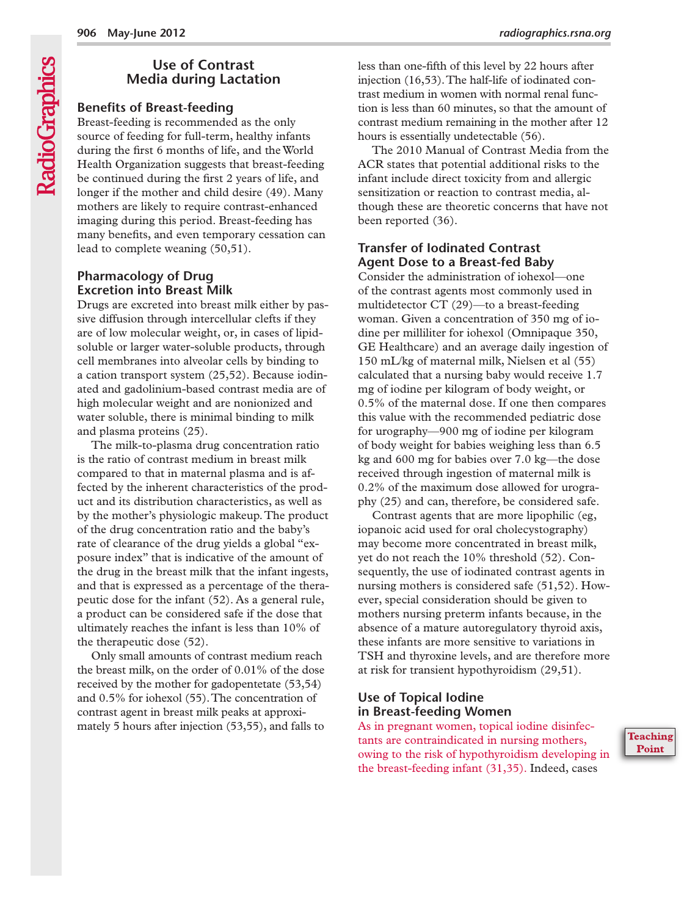# **Use of Contrast Media during Lactation**

# **Benefits of Breast-feeding**

Breast-feeding is recommended as the only source of feeding for full-term, healthy infants during the first 6 months of life, and the World Health Organization suggests that breast-feeding be continued during the first 2 years of life, and longer if the mother and child desire (49). Many mothers are likely to require contrast-enhanced imaging during this period. Breast-feeding has many benefits, and even temporary cessation can lead to complete weaning (50,51).

# **Pharmacology of Drug Excretion into Breast Milk**

Drugs are excreted into breast milk either by passive diffusion through intercellular clefts if they are of low molecular weight, or, in cases of lipidsoluble or larger water-soluble products, through cell membranes into alveolar cells by binding to a cation transport system (25,52). Because iodinated and gadolinium-based contrast media are of high molecular weight and are nonionized and water soluble, there is minimal binding to milk and plasma proteins (25).

The milk-to-plasma drug concentration ratio is the ratio of contrast medium in breast milk compared to that in maternal plasma and is affected by the inherent characteristics of the product and its distribution characteristics, as well as by the mother's physiologic makeup. The product of the drug concentration ratio and the baby's rate of clearance of the drug yields a global "exposure index" that is indicative of the amount of the drug in the breast milk that the infant ingests, and that is expressed as a percentage of the therapeutic dose for the infant (52). As a general rule, a product can be considered safe if the dose that ultimately reaches the infant is less than 10% of the therapeutic dose (52).

Only small amounts of contrast medium reach the breast milk, on the order of 0.01% of the dose received by the mother for gadopentetate (53,54) and 0.5% for iohexol (55). The concentration of contrast agent in breast milk peaks at approximately 5 hours after injection (53,55), and falls to

less than one-fifth of this level by 22 hours after injection (16,53). The half-life of iodinated contrast medium in women with normal renal function is less than 60 minutes, so that the amount of contrast medium remaining in the mother after 12 hours is essentially undetectable (56).

The 2010 Manual of Contrast Media from the ACR states that potential additional risks to the infant include direct toxicity from and allergic sensitization or reaction to contrast media, although these are theoretic concerns that have not been reported (36).

# **Transfer of Iodinated Contrast Agent Dose to a Breast-fed Baby**

Consider the administration of iohexol—one of the contrast agents most commonly used in multidetector CT (29)—to a breast-feeding woman. Given a concentration of 350 mg of iodine per milliliter for iohexol (Omnipaque 350, GE Healthcare) and an average daily ingestion of 150 mL/kg of maternal milk, Nielsen et al (55) calculated that a nursing baby would receive 1.7 mg of iodine per kilogram of body weight, or 0.5% of the maternal dose. If one then compares this value with the recommended pediatric dose for urography—900 mg of iodine per kilogram of body weight for babies weighing less than 6.5 kg and 600 mg for babies over 7.0 kg—the dose received through ingestion of maternal milk is 0.2% of the maximum dose allowed for urography (25) and can, therefore, be considered safe.

Contrast agents that are more lipophilic (eg, iopanoic acid used for oral cholecystography) may become more concentrated in breast milk, yet do not reach the 10% threshold (52). Consequently, the use of iodinated contrast agents in nursing mothers is considered safe (51,52). However, special consideration should be given to mothers nursing preterm infants because, in the absence of a mature autoregulatory thyroid axis, these infants are more sensitive to variations in TSH and thyroxine levels, and are therefore more at risk for transient hypothyroidism (29,51).

# **Use of Topical Iodine in Breast-feeding Women**

As in pregnant women, topical iodine disinfectants are contraindicated in nursing mothers, owing to the risk of hypothyroidism developing in the breast-feeding infant (31,35). Indeed, cases

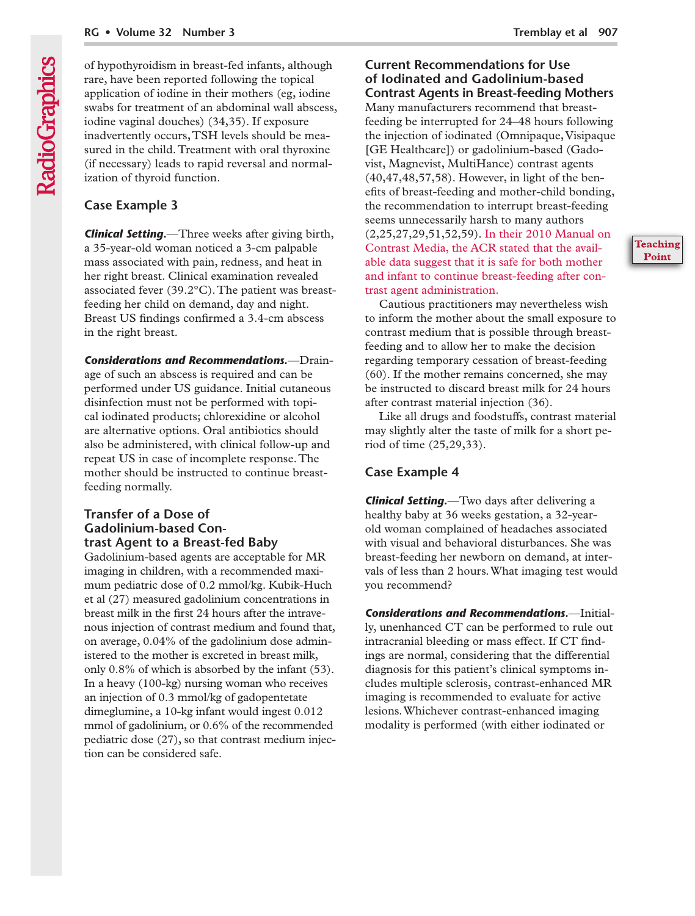of hypothyroidism in breast-fed infants, although rare, have been reported following the topical application of iodine in their mothers (eg, iodine swabs for treatment of an abdominal wall abscess, iodine vaginal douches) (34,35). If exposure inadvertently occurs, TSH levels should be measured in the child. Treatment with oral thyroxine (if necessary) leads to rapid reversal and normalization of thyroid function.

# **Case Example 3**

**RadioGraphics** 

*Clinical Setting.*—Three weeks after giving birth, a 35-year-old woman noticed a 3-cm palpable mass associated with pain, redness, and heat in her right breast. Clinical examination revealed associated fever (39.2°C). The patient was breastfeeding her child on demand, day and night. Breast US findings confirmed a 3.4-cm abscess in the right breast.

*Considerations and Recommendations.*—Drainage of such an abscess is required and can be performed under US guidance. Initial cutaneous disinfection must not be performed with topical iodinated products; chlorexidine or alcohol are alternative options. Oral antibiotics should also be administered, with clinical follow-up and repeat US in case of incomplete response. The mother should be instructed to continue breastfeeding normally.

# **Transfer of a Dose of Gadolinium-based Contrast Agent to a Breast-fed Baby**

Gadolinium-based agents are acceptable for MR imaging in children, with a recommended maximum pediatric dose of 0.2 mmol/kg. Kubik-Huch et al (27) measured gadolinium concentrations in breast milk in the first 24 hours after the intravenous injection of contrast medium and found that, on average, 0.04% of the gadolinium dose administered to the mother is excreted in breast milk, only 0.8% of which is absorbed by the infant (53). In a heavy (100-kg) nursing woman who receives an injection of 0.3 mmol/kg of gadopentetate dimeglumine, a 10-kg infant would ingest 0.012 mmol of gadolinium, or 0.6% of the recommended pediatric dose (27), so that contrast medium injection can be considered safe.

# **Current Recommendations for Use of Iodinated and Gadolinium-based Contrast Agents in Breast-feeding Mothers** Many manufacturers recommend that breast-

feeding be interrupted for 24–48 hours following the injection of iodinated (Omnipaque, Visipaque [GE Healthcare]) or gadolinium-based (Gadovist, Magnevist, MultiHance) contrast agents (40,47,48,57,58). However, in light of the benefits of breast-feeding and mother-child bonding, the recommendation to interrupt breast-feeding seems unnecessarily harsh to many authors (2,25,27,29,51,52,59). In their 2010 Manual on Contrast Media, the ACR stated that the available data suggest that it is safe for both mother and infant to continue breast-feeding after contrast agent administration.

Cautious practitioners may nevertheless wish to inform the mother about the small exposure to contrast medium that is possible through breastfeeding and to allow her to make the decision regarding temporary cessation of breast-feeding (60). If the mother remains concerned, she may be instructed to discard breast milk for 24 hours after contrast material injection (36).

Like all drugs and foodstuffs, contrast material may slightly alter the taste of milk for a short period of time (25,29,33).

# **Case Example 4**

*Clinical Setting.*—Two days after delivering a healthy baby at 36 weeks gestation, a 32-yearold woman complained of headaches associated with visual and behavioral disturbances. She was breast-feeding her newborn on demand, at intervals of less than 2 hours. What imaging test would you recommend?

*Considerations and Recommendations.*—Initially, unenhanced CT can be performed to rule out intracranial bleeding or mass effect. If CT findings are normal, considering that the differential diagnosis for this patient's clinical symptoms includes multiple sclerosis, contrast-enhanced MR imaging is recommended to evaluate for active lesions. Whichever contrast-enhanced imaging modality is performed (with either iodinated or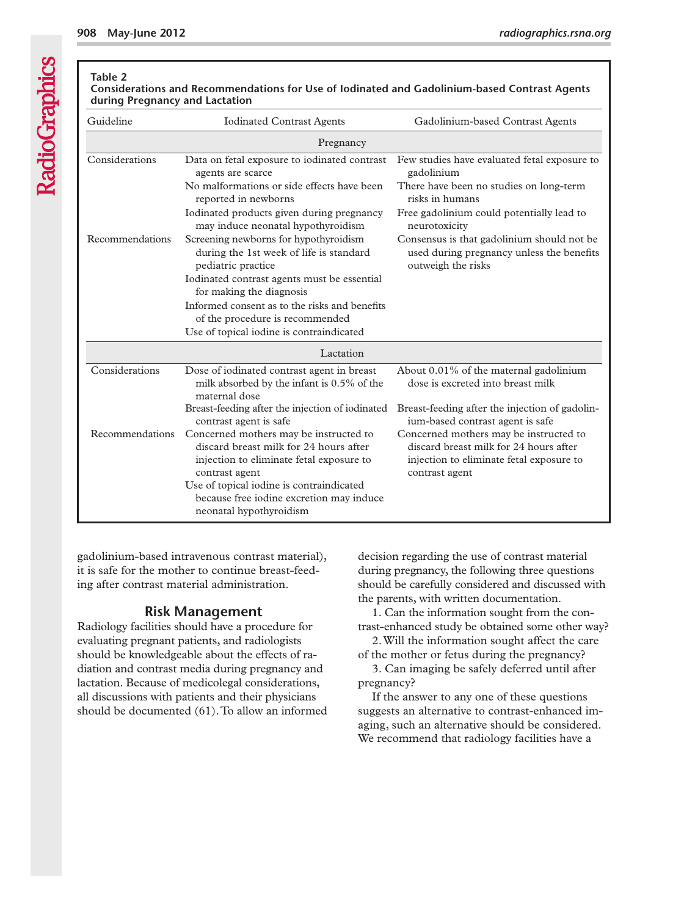| Guideline       | <b>Iodinated Contrast Agents</b>                                                                                                               | Gadolinium-based Contrast Agents                                                                                                               |
|-----------------|------------------------------------------------------------------------------------------------------------------------------------------------|------------------------------------------------------------------------------------------------------------------------------------------------|
|                 | Pregnancy                                                                                                                                      |                                                                                                                                                |
| Considerations  | Data on fetal exposure to iodinated contrast<br>agents are scarce                                                                              | Few studies have evaluated fetal exposure to<br>gadolinium                                                                                     |
|                 | No malformations or side effects have been<br>reported in newborns                                                                             | There have been no studies on long-term<br>risks in humans                                                                                     |
|                 | Iodinated products given during pregnancy<br>may induce neonatal hypothyroidism                                                                | Free gadolinium could potentially lead to<br>neurotoxicity                                                                                     |
| Recommendations | Screening newborns for hypothyroidism<br>during the 1st week of life is standard<br>pediatric practice                                         | Consensus is that gadolinium should not be<br>used during pregnancy unless the benefits<br>outweigh the risks                                  |
|                 | Iodinated contrast agents must be essential<br>for making the diagnosis                                                                        |                                                                                                                                                |
|                 | Informed consent as to the risks and benefits<br>of the procedure is recommended                                                               |                                                                                                                                                |
|                 | Use of topical iodine is contraindicated                                                                                                       |                                                                                                                                                |
|                 | Lactation                                                                                                                                      |                                                                                                                                                |
| Considerations  | Dose of iodinated contrast agent in breast<br>milk absorbed by the infant is 0.5% of the<br>maternal dose                                      | About 0.01% of the maternal gadolinium<br>dose is excreted into breast milk                                                                    |
|                 | Breast-feeding after the injection of iodinated<br>contrast agent is safe                                                                      | Breast-feeding after the injection of gadolin-<br>ium-based contrast agent is safe                                                             |
| Recommendations | Concerned mothers may be instructed to<br>discard breast milk for 24 hours after<br>injection to eliminate fetal exposure to<br>contrast agent | Concerned mothers may be instructed to<br>discard breast milk for 24 hours after<br>injection to eliminate fetal exposure to<br>contrast agent |
|                 | Use of topical iodine is contraindicated<br>because free iodine excretion may induce<br>neonatal hypothyroidism                                |                                                                                                                                                |

**Table 2**

gadolinium-based intravenous contrast material), it is safe for the mother to continue breast-feeding after contrast material administration.

# **Risk Management**

Radiology facilities should have a procedure for evaluating pregnant patients, and radiologists should be knowledgeable about the effects of radiation and contrast media during pregnancy and lactation. Because of medicolegal considerations, all discussions with patients and their physicians should be documented (61). To allow an informed decision regarding the use of contrast material during pregnancy, the following three questions should be carefully considered and discussed with the parents, with written documentation.

1. Can the information sought from the contrast-enhanced study be obtained some other way?

2. Will the information sought affect the care of the mother or fetus during the pregnancy?

3. Can imaging be safely deferred until after pregnancy?

If the answer to any one of these questions suggests an alternative to contrast-enhanced imaging, such an alternative should be considered. We recommend that radiology facilities have a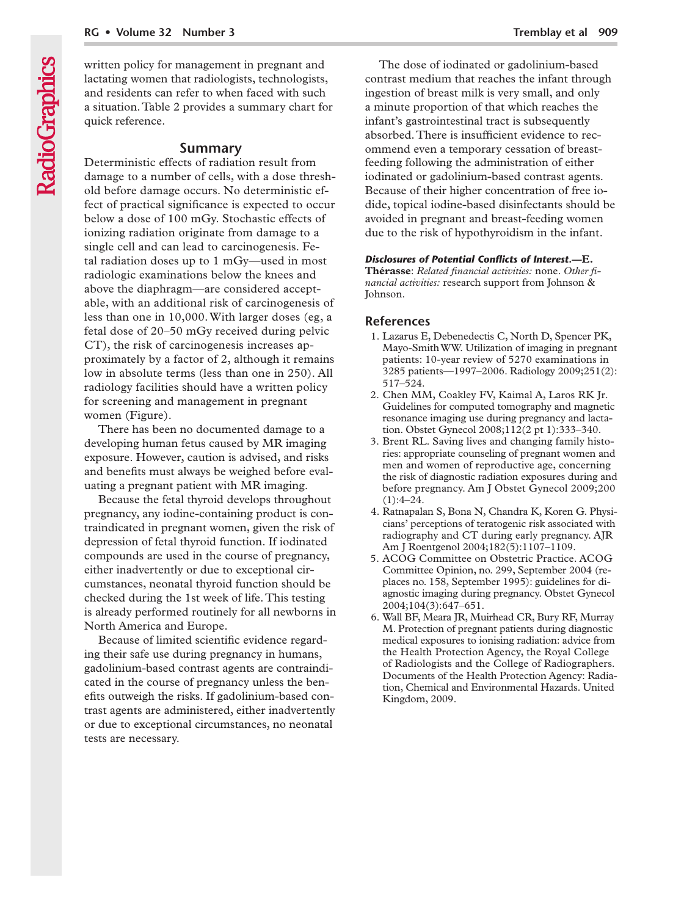written policy for management in pregnant and lactating women that radiologists, technologists, and residents can refer to when faced with such a situation. Table 2 provides a summary chart for quick reference.

#### **Summary**

Deterministic effects of radiation result from damage to a number of cells, with a dose threshold before damage occurs. No deterministic effect of practical significance is expected to occur below a dose of 100 mGy. Stochastic effects of ionizing radiation originate from damage to a single cell and can lead to carcinogenesis. Fetal radiation doses up to 1 mGy—used in most radiologic examinations below the knees and above the diaphragm—are considered acceptable, with an additional risk of carcinogenesis of less than one in 10,000. With larger doses (eg, a fetal dose of 20–50 mGy received during pelvic CT), the risk of carcinogenesis increases approximately by a factor of 2, although it remains low in absolute terms (less than one in 250). All radiology facilities should have a written policy for screening and management in pregnant women (Figure).

There has been no documented damage to a developing human fetus caused by MR imaging exposure. However, caution is advised, and risks and benefits must always be weighed before evaluating a pregnant patient with MR imaging.

Because the fetal thyroid develops throughout pregnancy, any iodine-containing product is contraindicated in pregnant women, given the risk of depression of fetal thyroid function. If iodinated compounds are used in the course of pregnancy, either inadvertently or due to exceptional circumstances, neonatal thyroid function should be checked during the 1st week of life. This testing is already performed routinely for all newborns in North America and Europe.

Because of limited scientific evidence regarding their safe use during pregnancy in humans, gadolinium-based contrast agents are contraindicated in the course of pregnancy unless the benefits outweigh the risks. If gadolinium-based contrast agents are administered, either inadvertently or due to exceptional circumstances, no neonatal tests are necessary.

The dose of iodinated or gadolinium-based contrast medium that reaches the infant through ingestion of breast milk is very small, and only a minute proportion of that which reaches the infant's gastrointestinal tract is subsequently absorbed. There is insufficient evidence to recommend even a temporary cessation of breastfeeding following the administration of either iodinated or gadolinium-based contrast agents. Because of their higher concentration of free iodide, topical iodine-based disinfectants should be avoided in pregnant and breast-feeding women due to the risk of hypothyroidism in the infant.

#### *Disclosures of Potential Conflicts of Interest.—***E.**

**Thérasse**: *Related financial activities:* none. *Other financial activities:* research support from Johnson & Johnson.

#### **References**

- 1. Lazarus E, Debenedectis C, North D, Spencer PK, Mayo-Smith WW. Utilization of imaging in pregnant patients: 10-year review of 5270 examinations in 3285 patients—1997–2006. Radiology 2009;251(2): 517–524.
- 2. Chen MM, Coakley FV, Kaimal A, Laros RK Jr. Guidelines for computed tomography and magnetic resonance imaging use during pregnancy and lactation. Obstet Gynecol 2008;112(2 pt 1):333–340.
- 3. Brent RL. Saving lives and changing family histories: appropriate counseling of pregnant women and men and women of reproductive age, concerning the risk of diagnostic radiation exposures during and before pregnancy. Am J Obstet Gynecol 2009;200  $(1):4-24.$
- 4. Ratnapalan S, Bona N, Chandra K, Koren G. Physicians' perceptions of teratogenic risk associated with radiography and CT during early pregnancy. AJR Am J Roentgenol 2004;182(5):1107–1109.
- 5. ACOG Committee on Obstetric Practice. ACOG Committee Opinion, no. 299, September 2004 (replaces no. 158, September 1995): guidelines for diagnostic imaging during pregnancy. Obstet Gynecol 2004;104(3):647–651.
- 6. Wall BF, Meara JR, Muirhead CR, Bury RF, Murray M. Protection of pregnant patients during diagnostic medical exposures to ionising radiation: advice from the Health Protection Agency, the Royal College of Radiologists and the College of Radiographers. Documents of the Health Protection Agency: Radiation, Chemical and Environmental Hazards. United Kingdom, 2009.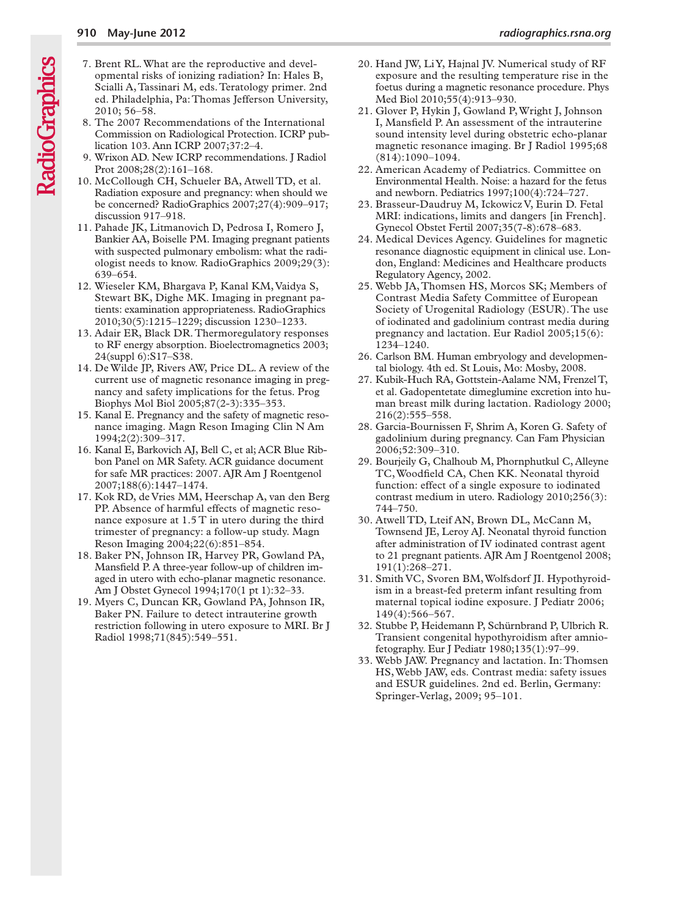**RadioGraphics** 

- 7. Brent RL. What are the reproductive and developmental risks of ionizing radiation? In: Hales B, Scialli A, Tassinari M, eds. Teratology primer. 2nd ed. Philadelphia, Pa: Thomas Jefferson University, 2010; 56–58.
- 8. The 2007 Recommendations of the International Commission on Radiological Protection. ICRP publication 103. Ann ICRP 2007;37:2–4.
- 9. Wrixon AD. New ICRP recommendations. J Radiol Prot 2008;28(2):161–168.
- 10. McCollough CH, Schueler BA, Atwell TD, et al. Radiation exposure and pregnancy: when should we be concerned? RadioGraphics 2007;27(4):909–917; discussion 917–918.
- 11. Pahade JK, Litmanovich D, Pedrosa I, Romero J, Bankier AA, Boiselle PM. Imaging pregnant patients with suspected pulmonary embolism: what the radiologist needs to know. RadioGraphics 2009;29(3): 639–654.
- 12. Wieseler KM, Bhargava P, Kanal KM, Vaidya S, Stewart BK, Dighe MK. Imaging in pregnant patients: examination appropriateness. RadioGraphics 2010;30(5):1215–1229; discussion 1230–1233.
- 13. Adair ER, Black DR. Thermoregulatory responses to RF energy absorption. Bioelectromagnetics 2003; 24(suppl 6):S17–S38.
- 14. De Wilde JP, Rivers AW, Price DL. A review of the current use of magnetic resonance imaging in pregnancy and safety implications for the fetus. Prog Biophys Mol Biol 2005;87(2-3):335–353.
- 15. Kanal E. Pregnancy and the safety of magnetic resonance imaging. Magn Reson Imaging Clin N Am 1994;2(2):309–317.
- 16. Kanal E, Barkovich AJ, Bell C, et al; ACR Blue Ribbon Panel on MR Safety. ACR guidance document for safe MR practices: 2007. AJR Am J Roentgenol 2007;188(6):1447–1474.
- 17. Kok RD, de Vries MM, Heerschap A, van den Berg PP. Absence of harmful effects of magnetic resonance exposure at 1.5 T in utero during the third trimester of pregnancy: a follow-up study. Magn Reson Imaging 2004;22(6):851–854.
- 18. Baker PN, Johnson IR, Harvey PR, Gowland PA, Mansfield P. A three-year follow-up of children imaged in utero with echo-planar magnetic resonance. Am J Obstet Gynecol 1994;170(1 pt 1):32–33.
- 19. Myers C, Duncan KR, Gowland PA, Johnson IR, Baker PN. Failure to detect intrauterine growth restriction following in utero exposure to MRI. Br J Radiol 1998;71(845):549–551.
- 20. Hand JW, Li Y, Hajnal JV. Numerical study of RF exposure and the resulting temperature rise in the foetus during a magnetic resonance procedure. Phys Med Biol 2010;55(4):913–930.
- 21. Glover P, Hykin J, Gowland P, Wright J, Johnson I, Mansfield P. An assessment of the intrauterine sound intensity level during obstetric echo-planar magnetic resonance imaging. Br J Radiol 1995;68 (814):1090–1094.
- 22. American Academy of Pediatrics. Committee on Environmental Health. Noise: a hazard for the fetus and newborn. Pediatrics 1997;100(4):724–727.
- 23. Brasseur-Daudruy M, Ickowicz V, Eurin D. Fetal MRI: indications, limits and dangers [in French]. Gynecol Obstet Fertil 2007;35(7-8):678–683.
- 24. Medical Devices Agency. Guidelines for magnetic resonance diagnostic equipment in clinical use. London, England: Medicines and Healthcare products Regulatory Agency, 2002.
- 25. Webb JA, Thomsen HS, Morcos SK; Members of Contrast Media Safety Committee of European Society of Urogenital Radiology (ESUR). The use of iodinated and gadolinium contrast media during pregnancy and lactation. Eur Radiol 2005;15(6): 1234–1240.
- 26. Carlson BM. Human embryology and developmental biology. 4th ed. St Louis, Mo: Mosby, 2008.
- 27. Kubik-Huch RA, Gottstein-Aalame NM, Frenzel T, et al. Gadopentetate dimeglumine excretion into human breast milk during lactation. Radiology 2000; 216(2):555–558.
- 28. Garcia-Bournissen F, Shrim A, Koren G. Safety of gadolinium during pregnancy. Can Fam Physician 2006;52:309–310.
- 29. Bourjeily G, Chalhoub M, Phornphutkul C, Alleyne TC, Woodfield CA, Chen KK. Neonatal thyroid function: effect of a single exposure to iodinated contrast medium in utero. Radiology 2010;256(3): 744–750.
- 30. Atwell TD, Lteif AN, Brown DL, McCann M, Townsend JE, Leroy AJ. Neonatal thyroid function after administration of IV iodinated contrast agent to 21 pregnant patients. AJR Am J Roentgenol 2008; 191(1):268–271.
- 31. Smith VC, Svoren BM, Wolfsdorf JI. Hypothyroidism in a breast-fed preterm infant resulting from maternal topical iodine exposure. J Pediatr 2006; 149(4):566–567.
- 32. Stubbe P, Heidemann P, Schürnbrand P, Ulbrich R. Transient congenital hypothyroidism after amniofetography. Eur J Pediatr 1980;135(1):97–99.
- 33. Webb JAW. Pregnancy and lactation. In: Thomsen HS, Webb JAW, eds. Contrast media: safety issues and ESUR guidelines. 2nd ed. Berlin, Germany: Springer-Verlag, 2009; 95–101.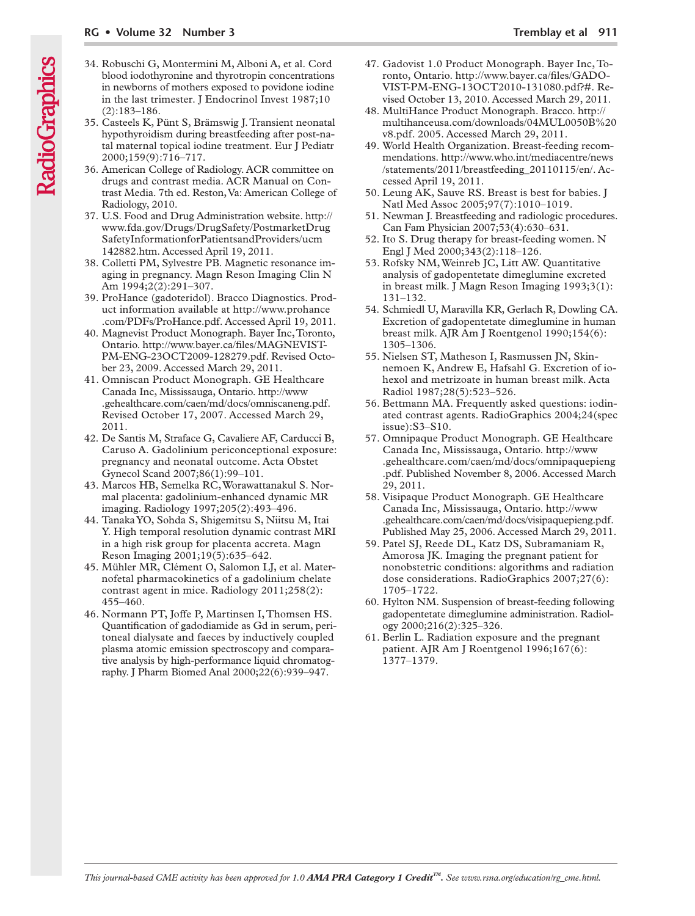- 34. Robuschi G, Montermini M, Alboni A, et al. Cord blood iodothyronine and thyrotropin concentrations in newborns of mothers exposed to povidone iodine in the last trimester. J Endocrinol Invest 1987;10 (2):183–186.
- 35. Casteels K, Pünt S, Brämswig J. Transient neonatal hypothyroidism during breastfeeding after post-natal maternal topical iodine treatment. Eur J Pediatr 2000;159(9):716–717.
- 36. American College of Radiology. ACR committee on drugs and contrast media. ACR Manual on Contrast Media. 7th ed. Reston, Va: American College of Radiology, 2010.
- 37. U.S. Food and Drug Administration website. http:// www.fda.gov/Drugs/DrugSafety/PostmarketDrug SafetyInformationforPatientsandProviders/ucm 142882.htm. Accessed April 19, 2011.
- 38. Colletti PM, Sylvestre PB. Magnetic resonance imaging in pregnancy. Magn Reson Imaging Clin N Am 1994;2(2):291–307.
- 39. ProHance (gadoteridol). Bracco Diagnostics. Product information available at http://www.prohance .com/PDFs/ProHance.pdf. Accessed April 19, 2011.
- 40. Magnevist Product Monograph. Bayer Inc, Toronto, Ontario. http://www.bayer.ca/files/MAGNEVIST-PM-ENG-23OCT2009-128279.pdf. Revised October 23, 2009. Accessed March 29, 2011.
- 41. Omniscan Product Monograph. GE Healthcare Canada Inc, Mississauga, Ontario. http://www .gehealthcare.com/caen/md/docs/omniscaneng.pdf. Revised October 17, 2007. Accessed March 29, 2011.
- 42. De Santis M, Straface G, Cavaliere AF, Carducci B, Caruso A. Gadolinium periconceptional exposure: pregnancy and neonatal outcome. Acta Obstet Gynecol Scand 2007;86(1):99–101.
- 43. Marcos HB, Semelka RC, Worawattanakul S. Normal placenta: gadolinium-enhanced dynamic MR imaging. Radiology 1997;205(2):493–496.
- 44. Tanaka YO, Sohda S, Shigemitsu S, Niitsu M, Itai Y. High temporal resolution dynamic contrast MRI in a high risk group for placenta accreta. Magn Reson Imaging 2001;19(5):635–642.
- 45. Mühler MR, Clément O, Salomon LJ, et al. Maternofetal pharmacokinetics of a gadolinium chelate contrast agent in mice. Radiology 2011;258(2): 455–460.
- 46. Normann PT, Joffe P, Martinsen I, Thomsen HS. Quantification of gadodiamide as Gd in serum, peritoneal dialysate and faeces by inductively coupled plasma atomic emission spectroscopy and comparative analysis by high-performance liquid chromatography. J Pharm Biomed Anal 2000;22(6):939–947.
- 47. Gadovist 1.0 Product Monograph. Bayer Inc, Toronto, Ontario. http://www.bayer.ca/files/GADO-VIST-PM-ENG-13OCT2010-131080.pdf?#. Revised October 13, 2010. Accessed March 29, 2011.
- 48. MultiHance Product Monograph. Bracco. http:// multihanceusa.com/downloads/04MUL0050B%20 v8.pdf. 2005. Accessed March 29, 2011.
- 49. World Health Organization. Breast-feeding recommendations. http://www.who.int/mediacentre/news /statements/2011/breastfeeding\_20110115/en/. Accessed April 19, 2011.
- 50. Leung AK, Sauve RS. Breast is best for babies. J Natl Med Assoc 2005;97(7):1010–1019.
- 51. Newman J. Breastfeeding and radiologic procedures. Can Fam Physician 2007;53(4):630–631.
- 52. Ito S. Drug therapy for breast-feeding women. N Engl J Med 2000;343(2):118–126.
- 53. Rofsky NM, Weinreb JC, Litt AW. Quantitative analysis of gadopentetate dimeglumine excreted in breast milk. J Magn Reson Imaging 1993;3(1): 131–132.
- 54. Schmiedl U, Maravilla KR, Gerlach R, Dowling CA. Excretion of gadopentetate dimeglumine in human breast milk. AJR Am J Roentgenol 1990;154(6): 1305–1306.
- 55. Nielsen ST, Matheson I, Rasmussen JN, Skinnemoen K, Andrew E, Hafsahl G. Excretion of iohexol and metrizoate in human breast milk. Acta Radiol 1987;28(5):523–526.
- 56. Bettmann MA. Frequently asked questions: iodinated contrast agents. RadioGraphics 2004;24(spec issue):S3–S10.
- 57. Omnipaque Product Monograph. GE Healthcare Canada Inc, Mississauga, Ontario. http://www .gehealthcare.com/caen/md/docs/omnipaquepieng .pdf. Published November 8, 2006. Accessed March 29, 2011.
- 58. Visipaque Product Monograph. GE Healthcare Canada Inc, Mississauga, Ontario. http://www .gehealthcare.com/caen/md/docs/visipaquepieng.pdf. Published May 25, 2006. Accessed March 29, 2011.
- 59. Patel SJ, Reede DL, Katz DS, Subramaniam R, Amorosa JK. Imaging the pregnant patient for nonobstetric conditions: algorithms and radiation dose considerations. RadioGraphics 2007;27(6): 1705–1722.
- 60. Hylton NM. Suspension of breast-feeding following gadopentetate dimeglumine administration. Radiology 2000;216(2):325–326.
- 61. Berlin L. Radiation exposure and the pregnant patient. AJR Am J Roentgenol 1996;167(6): 1377–1379.